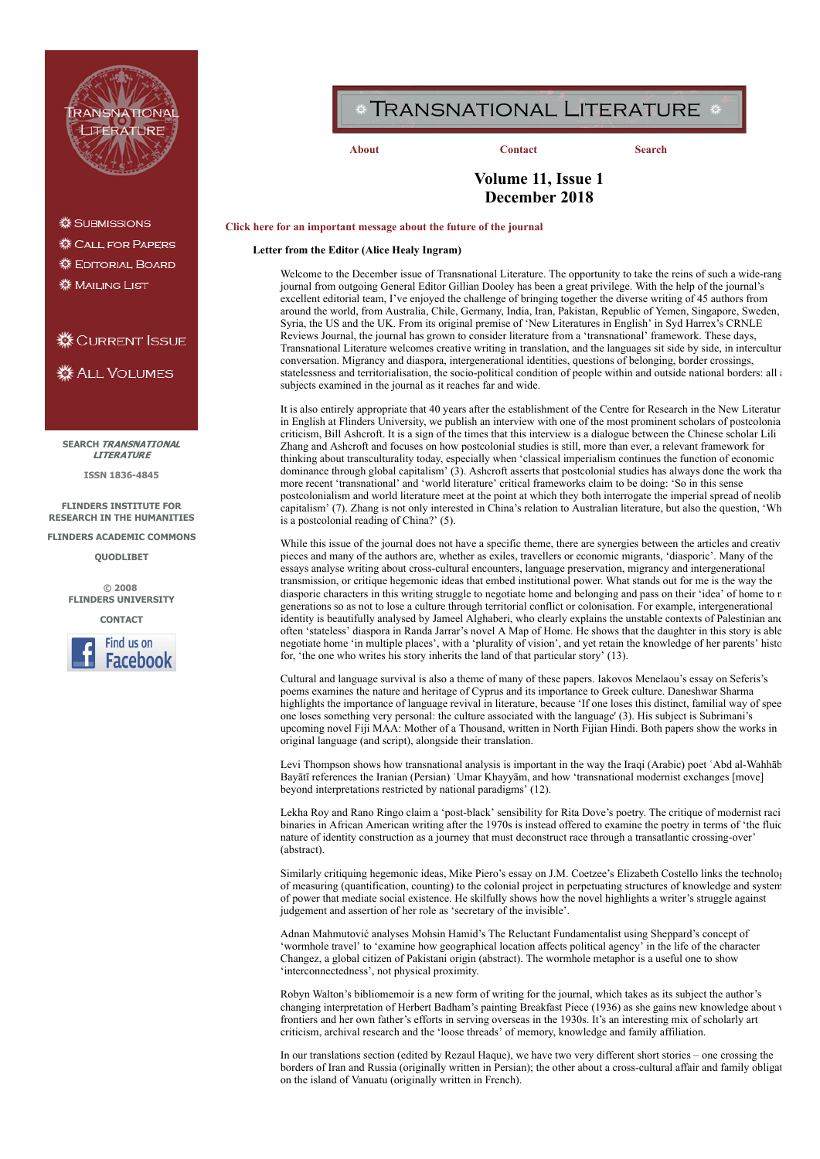

**※ SUBMISSIONS** 

«Call for Papers

**« EDITORIAL BOARD** 

檾 MAILING LIST

# **※CURRENT ISSUE**

**※ ALL VOLUMES** 

**SEARCH** [TRANSNATIONAL](http://dspace.flinders.edu.au/dspace/handle/2328/3206) **LITERATURE** 

**ISSN 1836-4845**

**FLINDERS INSTITUTE FOR [RESEARCH IN THE HUMANITIES](http://www.flinders.edu.au/ehl/firth/)**

**[FLINDERS ACADEMIC COMMONS](http://dspace.flinders.edu.au/dspace/)**

**[QUODLIBET](http://fhrc.flinders.edu.au/ejournals/quodlibet/index.html)**

**© 2008 [FLINDERS UNIVERSITY](http://www.flinders.edu.au/)**





# TRANSNATIONAL LITERATURE \*

**[About](http://fhrc.flinders.edu.au/transnational/home.html#about) [Contact](http://fhrc.flinders.edu.au/transnational/home.html#contact) [Search](http://dspace.flinders.edu.au/dspace/handle/2328/3206)**

# **Volume 11, Issue 1 December 2018**

#### **[Click here for an important message about the future of the journal](http://fhrc.flinders.edu.au/transnational/home.html)**

**Letter from the Editor (Alice Healy Ingram)**

Welcome to the December issue of Transnational Literature. The opportunity to take the reins of such a wide-rang journal from outgoing General Editor Gillian Dooley has been a great privilege. With the help of the journal's excellent editorial team, I've enjoyed the challenge of bringing together the diverse writing of 45 authors from around the world, from Australia, Chile, Germany, India, Iran, Pakistan, Republic of Yemen, Singapore, Sweden, Syria, the US and the UK. From its original premise of 'New Literatures in English' in Syd Harrex's CRNLE Reviews Journal, the journal has grown to consider literature from a 'transnational' framework. These days, Transnational Literature welcomes creative writing in translation, and the languages sit side by side, in intercultur conversation. Migrancy and diaspora, intergenerational identities, questions of belonging, border crossings, statelessness and territorialisation, the socio-political condition of people within and outside national borders: all a subjects examined in the journal as it reaches far and wide.

It is also entirely appropriate that 40 years after the establishment of the Centre for Research in the New Literatur in English at Flinders University, we publish an interview with one of the most prominent scholars of postcolonia criticism, Bill Ashcroft. It is a sign of the times that this interview is a dialogue between the Chinese scholar Lili Zhang and Ashcroft and focuses on how postcolonial studies is still, more than ever, a relevant framework for thinking about transculturality today, especially when 'classical imperialism continues the function of economic dominance through global capitalism' (3). Ashcroft asserts that postcolonial studies has always done the work tha more recent 'transnational' and 'world literature' critical frameworks claim to be doing: 'So in this sense postcolonialism and world literature meet at the point at which they both interrogate the imperial spread of neolib capitalism' (7). Zhang is not only interested in China's relation to Australian literature, but also the question, 'Wh is a postcolonial reading of China?' (5).

While this issue of the journal does not have a specific theme, there are synergies between the articles and creativ pieces and many of the authors are, whether as exiles, travellers or economic migrants, 'diasporic'. Many of the essays analyse writing about cross-cultural encounters, language preservation, migrancy and intergenerational transmission, or critique hegemonic ideas that embed institutional power. What stands out for me is the way the diasporic characters in this writing struggle to negotiate home and belonging and pass on their 'idea' of home to n generations so as not to lose a culture through territorial conflict or colonisation. For example, intergenerational identity is beautifully analysed by Jameel Alghaberi, who clearly explains the unstable contexts of Palestinian and often 'stateless' diaspora in Randa Jarrar's novel A Map of Home. He shows that the daughter in this story is able negotiate home 'in multiple places', with a 'plurality of vision', and yet retain the knowledge of her parents' histo for, 'the one who writes his story inherits the land of that particular story' (13).

Cultural and language survival is also a theme of many of these papers. Iakovos Menelaou's essay on Seferis's poems examines the nature and heritage of Cyprus and its importance to Greek culture. Daneshwar Sharma highlights the importance of language revival in literature, because 'If one loses this distinct, familial way of spee one loses something very personal: the culture associated with the language' (3). His subject is Subrimani's upcoming novel Fiji MAA: Mother of a Thousand, written in North Fijian Hindi. Both papers show the works in original language (and script), alongside their translation.

Levi Thompson shows how transnational analysis is important in the way the Iraqi (Arabic) poet ʿAbd al-Wahhāb Bayātī references the Iranian (Persian) 'Umar Khayyām, and how 'transnational modernist exchanges [move] beyond interpretations restricted by national paradigms' (12).

Lekha Roy and Rano Ringo claim a 'post-black' sensibility for Rita Dove's poetry. The critique of modernist raci binaries in African American writing after the 1970s is instead offered to examine the poetry in terms of 'the fluid nature of identity construction as a journey that must deconstruct race through a transatlantic crossing-over' (abstract).

Similarly critiquing hegemonic ideas, Mike Piero's essay on J.M. Coetzee's Elizabeth Costello links the technolog of measuring (quantification, counting) to the colonial project in perpetuating structures of knowledge and system of power that mediate social existence. He skilfully shows how the novel highlights a writer's struggle against judgement and assertion of her role as 'secretary of the invisible'.

Adnan Mahmutović analyses Mohsin Hamid's The Reluctant Fundamentalist using Sheppard's concept of 'wormhole travel' to 'examine how geographical location affects political agency' in the life of the character Changez, a global citizen of Pakistani origin (abstract). The wormhole metaphor is a useful one to show 'interconnectedness', not physical proximity.

Robyn Walton's bibliomemoir is a new form of writing for the journal, which takes as its subject the author's changing interpretation of Herbert Badham's painting Breakfast Piece (1936) as she gains new knowledge about w frontiers and her own father's efforts in serving overseas in the 1930s. It's an interesting mix of scholarly art criticism, archival research and the 'loose threads' of memory, knowledge and family affiliation.

In our translations section (edited by Rezaul Haque), we have two very different short stories – one crossing the borders of Iran and Russia (originally written in Persian); the other about a cross-cultural affair and family obligat on the island of Vanuatu (originally written in French).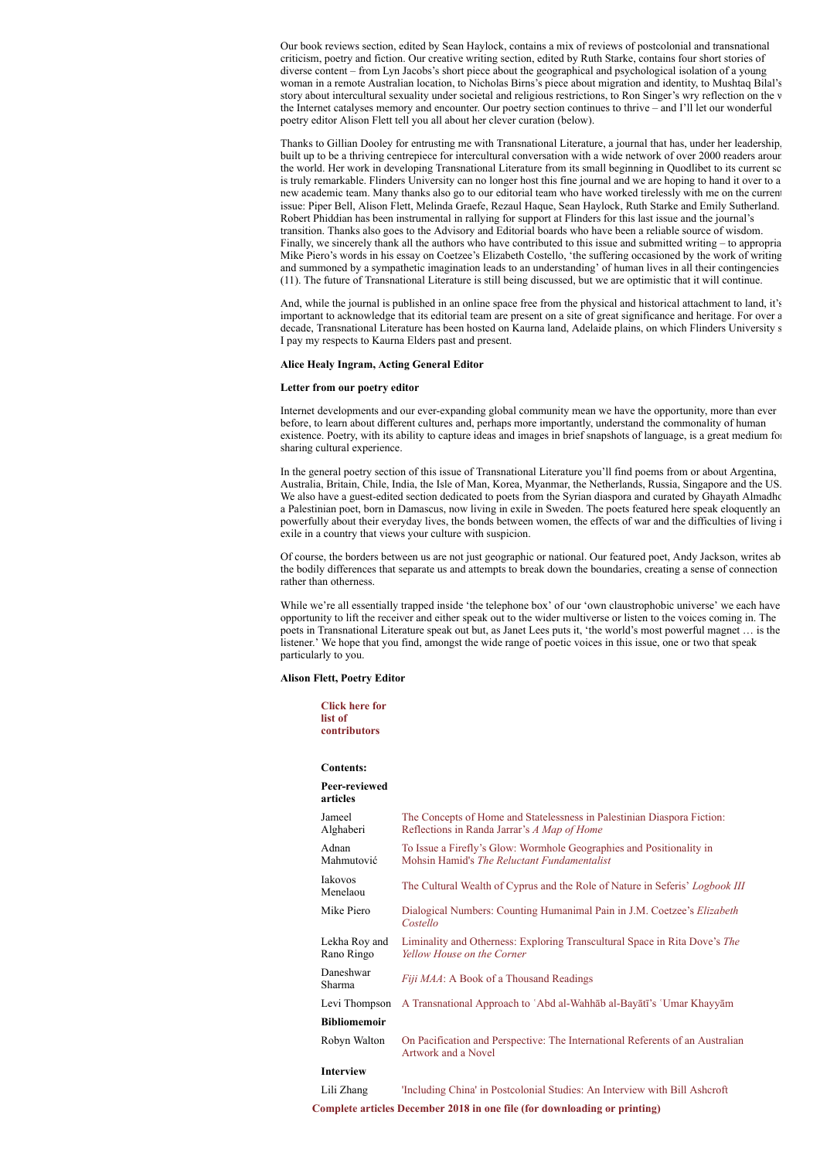Our book reviews section, edited by Sean Haylock, contains a mix of reviews of postcolonial and transnational criticism, poetry and fiction. Our creative writing section, edited by Ruth Starke, contains four short stories of diverse content – from Lyn Jacobs's short piece about the geographical and psychological isolation of a young woman in a remote Australian location, to Nicholas Birns's piece about migration and identity, to Mushtaq Bilal's story about intercultural sexuality under societal and religious restrictions, to Ron Singer's wry reflection on the w the Internet catalyses memory and encounter. Our poetry section continues to thrive – and I'll let our wonderful poetry editor Alison Flett tell you all about her clever curation (below).

Thanks to Gillian Dooley for entrusting me with Transnational Literature, a journal that has, under her leadership, built up to be a thriving centrepiece for intercultural conversation with a wide network of over 2000 readers aroun the world. Her work in developing Transnational Literature from its small beginning in Quodlibet to its current sc is truly remarkable. Flinders University can no longer host this fine journal and we are hoping to hand it over to a new academic team. Many thanks also go to our editorial team who have worked tirelessly with me on the current issue: Piper Bell, Alison Flett, Melinda Graefe, Rezaul Haque, Sean Haylock, Ruth Starke and Emily Sutherland. Robert Phiddian has been instrumental in rallying for support at Flinders for this last issue and the journal's transition. Thanks also goes to the Advisory and Editorial boards who have been a reliable source of wisdom. Finally, we sincerely thank all the authors who have contributed to this issue and submitted writing – to appropria Mike Piero's words in his essay on Coetzee's Elizabeth Costello, 'the suffering occasioned by the work of writing and summoned by a sympathetic imagination leads to an understanding' of human lives in all their contingencies (11). The future of Transnational Literature is still being discussed, but we are optimistic that it will continue.

And, while the journal is published in an online space free from the physical and historical attachment to land, it's important to acknowledge that its editorial team are present on a site of great significance and heritage. For over a decade, Transnational Literature has been hosted on Kaurna land, Adelaide plains, on which Flinders University s I pay my respects to Kaurna Elders past and present.

#### **Alice Healy Ingram, Acting General Editor**

#### **Letter from our poetry editor**

Internet developments and our ever-expanding global community mean we have the opportunity, more than ever before, to learn about different cultures and, perhaps more importantly, understand the commonality of human existence. Poetry, with its ability to capture ideas and images in brief snapshots of language, is a great medium for sharing cultural experience.

In the general poetry section of this issue of Transnational Literature you'll find poems from or about Argentina, Australia, Britain, Chile, India, the Isle of Man, Korea, Myanmar, the Netherlands, Russia, Singapore and the US. We also have a guest-edited section dedicated to poets from the Syrian diaspora and curated by Ghayath Almadho a Palestinian poet, born in Damascus, now living in exile in Sweden. The poets featured here speak eloquently an powerfully about their everyday lives, the bonds between women, the effects of war and the difficulties of living i exile in a country that views your culture with suspicion.

Of course, the borders between us are not just geographic or national. Our featured poet, Andy Jackson, writes ab the bodily differences that separate us and attempts to break down the boundaries, creating a sense of connection rather than otherness.

While we're all essentially trapped inside 'the telephone box' of our 'own claustrophobic universe' we each have opportunity to lift the receiver and either speak out to the wider multiverse or listen to the voices coming in. The poets in Transnational Literature speak out but, as Janet Lees puts it, 'the world's most powerful magnet … is the listener.' We hope that you find, amongst the wide range of poetic voices in this issue, one or two that speak particularly to you.

#### **Alison Flett, Poetry Editor**

**[Click here for](https://dspace.flinders.edu.au/xmlui/bitstream/handle/2328/38777/Contributors_Transnational_Literature_11_1%20Dec_2018.pdf?sequence=3&isAllowed=y) list of contributors**

| <b>Contents:</b>            |                                                                                                                            |
|-----------------------------|----------------------------------------------------------------------------------------------------------------------------|
| Peer-reviewed<br>articles   |                                                                                                                            |
| Jameel<br>Alghaberi         | The Concepts of Home and Statelessness in Palestinian Diaspora Fiction:<br>Reflections in Randa Jarrar's A Map of Home     |
| Adnan<br>Mahmutović         | To Issue a Firefly's Glow: Wormhole Geographies and Positionality in<br>Mohsin Hamid's <i>The Reluctant Fundamentalist</i> |
| Iakovos<br>Menelaou         | The Cultural Wealth of Cyprus and the Role of Nature in Seferis' Logbook III                                               |
| Mike Piero                  | Dialogical Numbers: Counting Humanimal Pain in J.M. Coetzee's Elizabeth<br>Costello                                        |
| Lekha Roy and<br>Rano Ringo | Liminality and Otherness: Exploring Transcultural Space in Rita Dove's The<br>Yellow House on the Corner                   |
| Daneshwar<br>Sharma         | Fiji MAA: A Book of a Thousand Readings                                                                                    |
| Levi Thompson               | A Transnational Approach to 'Abd al-Wahhab al-Bayati's 'Umar Khayyam                                                       |
| Bibliomemoir                |                                                                                                                            |
| Robyn Walton                | On Pacification and Perspective: The International Referents of an Australian<br>Artwork and a Novel                       |
| Interview                   |                                                                                                                            |
| Lili Zhang                  | 'Including China' in Postcolonial Studies: An Interview with Bill Ashcroft                                                 |

**[Complete articles December 2018 in one file \(for downloading or printing\)](https://dspace.flinders.edu.au/xmlui/bitstream/handle/2328/38778/Complete_articles.pdf?sequence=1&isAllowed=y)**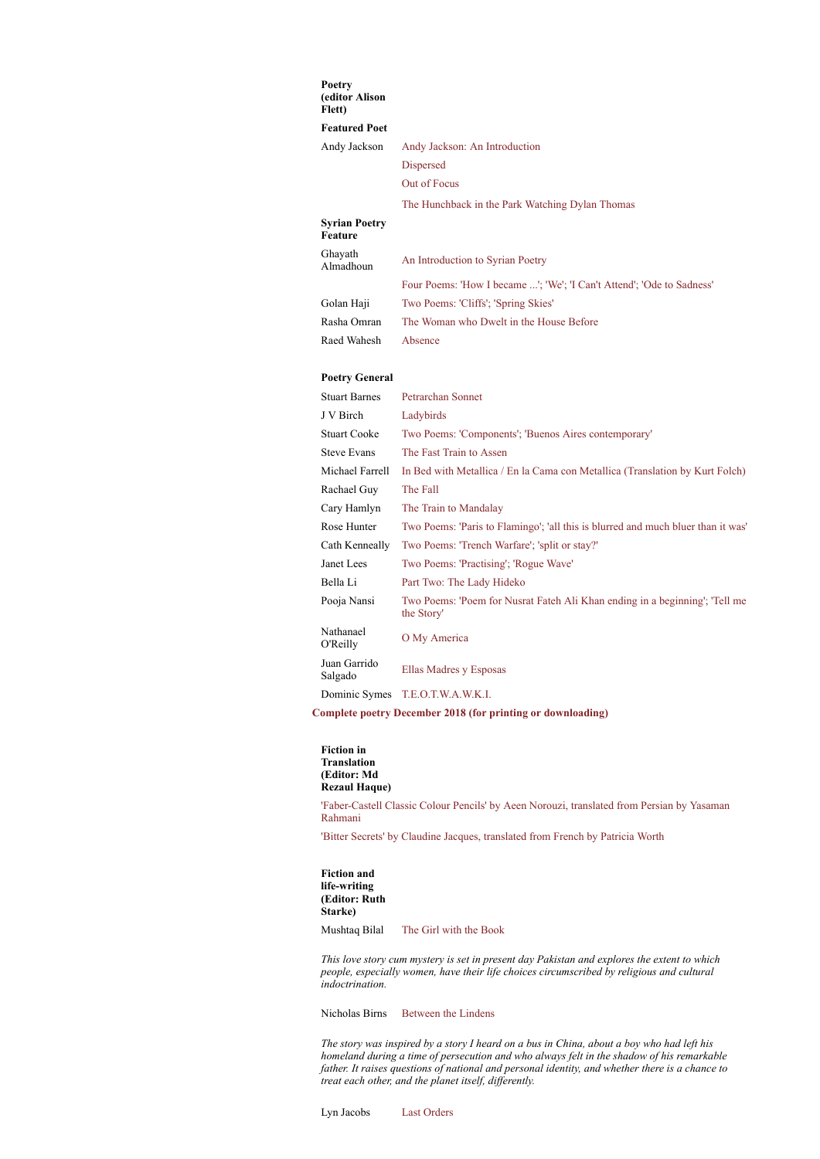#### **Poetry (editor Alison Flett)**

## **Featured Poet**

Andy Jackson [Andy Jackson: An Introduction](https://dspace.flinders.edu.au/xmlui/bitstream/handle/2328/38739/Jackson_Andy_Intro.pdf?sequence=1&isAllowed=y) [Dispersed](https://dspace.flinders.edu.au/xmlui/bitstream/handle/2328/38740/Jackson_Dispersed.pdf?sequence=1&isAllowed=y)

[Out of Focus](https://dspace.flinders.edu.au/xmlui/bitstream/handle/2328/38741/Jackson_Out_of_Focus.pdf?sequence=1&isAllowed=y)

[The Hunchback in the Park Watching Dylan Thomas](https://dspace.flinders.edu.au/xmlui/bitstream/handle/2328/38742/Jackson_The_Hunchback_in_the_Park_Watching-Dylan_Thomas.pdf?sequence=1&isAllowed=y)

# **Syrian Poetry Feature** Ghayath [An Introduction to Syrian Poetry](https://dspace.flinders.edu.au/xmlui/bitstream/handle/2328/38721/Almadhoun_Syrian_Poetry_An_Introduction.pdf?sequence=1&isAllowed=y) [Four Poems: 'How I became ...'; 'We'; 'I Can't Attend'; 'Ode to Sadness'](https://dspace.flinders.edu.au/xmlui/bitstream/handle/2328/38722/Almadhoun_Four_Poems.pdf?sequence=1&isAllowed=y) Golan Haji [Two Poems: 'Cliffs'; 'Spring Skies'](https://dspace.flinders.edu.au/xmlui/bitstream/handle/2328/38735/Haji_Cliffs_and_Spring_Skies.pdf?sequence=1&isAllowed=y) Rasha Omran [The Woman who Dwelt in the House Before](https://dspace.flinders.edu.au/xmlui/bitstream/handle/2328/38751/Omran_The_Woman_Who_Dwelt.pdf?sequence=1&isAllowed=y)

Raed Wahesh [Absence](https://dspace.flinders.edu.au/xmlui/bitstream/handle/2328/38763/Wahesh_Absence.pdf?sequence=1&isAllowed=y)

#### **Poetry General**

| <b>Stuart Barnes</b>    | Petrarchan Sonnet                                                                         |
|-------------------------|-------------------------------------------------------------------------------------------|
| J V Birch               | Ladybirds                                                                                 |
| Stuart Cooke            | Two Poems: 'Components'; 'Buenos Aires contemporary'                                      |
| Steve Evans             | The Fast Train to Assen                                                                   |
| Michael Farrell         | In Bed with Metallica / En la Cama con Metallica (Translation by Kurt Folch)              |
| Rachael Guy             | The Fall                                                                                  |
| Cary Hamlyn             | The Train to Mandalay                                                                     |
| Rose Hunter             | Two Poems: 'Paris to Flamingo'; 'all this is blurred and much bluer than it was'          |
| Cath Kenneally          | Two Poems: 'Trench Warfare'; 'split or stay?'                                             |
| Janet Lees              | Two Poems: 'Practising'; 'Rogue Wave'                                                     |
| Bella Li                | Part Two: The Lady Hideko                                                                 |
| Pooja Nansi             | Two Poems: 'Poem for Nusrat Fateh Ali Khan ending in a beginning'; 'Tell me<br>the Story' |
| Nathanael<br>O'Reilly   | O My America                                                                              |
| Juan Garrido<br>Salgado | Ellas Madres y Esposas                                                                    |
|                         | Dominic Symes T.E.O.T.W.A.W.K.I.                                                          |

### **[Complete poetry December 2018 \(for printing or downloading\)](https://dspace.flinders.edu.au/xmlui/bitstream/handle/2328/38779/Complete_poetry.pdf?sequence=1&isAllowed=y)**

**Fiction in Translation (Editor: Md Rezaul Haque)**

['Faber-Castell Classic Colour Pencils' by Aeen Norouzi, translated from Persian by Yasaman](https://dspace.flinders.edu.au/xmlui/bitstream/handle/2328/38754/Rahmani_Faber_Castell_Classic_Colour_Pencils.pdf?sequence=1&isAllowed=y) Rahmani

['Bitter Secrets' by Claudine Jacques, translated from French by Patricia Worth](https://dspace.flinders.edu.au/xmlui/bitstream/handle/2328/38782/Worth_Bitter_Secrets.pdf?sequence=1&isAllowed=y)

**Fiction and life-writing (Editor: Ruth Starke)**

Mushtaq Bilal [The Girl with the Book](https://dspace.flinders.edu.au/xmlui/bitstream/handle/2328/38725/Bilal_The_Girl_with_the_Book.pdf?sequence=1&isAllowed=y)

*This love story cum mystery is set in present day Pakistan and explores the extent to which people, especially women, have their life choices circumscribed by religious and cultural indoctrination.*

Nicholas Birns [Between the Lindens](https://dspace.flinders.edu.au/xmlui/bitstream/handle/2328/38727/Birns_Between_the_Lindens.pdf?sequence=1&isAllowed=y)

*The story was inspired by a story I heard on a bus in China, about a boy who had left his homeland during a time of persecution and who always felt in the shadow of his remarkable father. It raises questions of national and personal identity, and whether there is a chance to treat each other, and the planet itself, differently.*